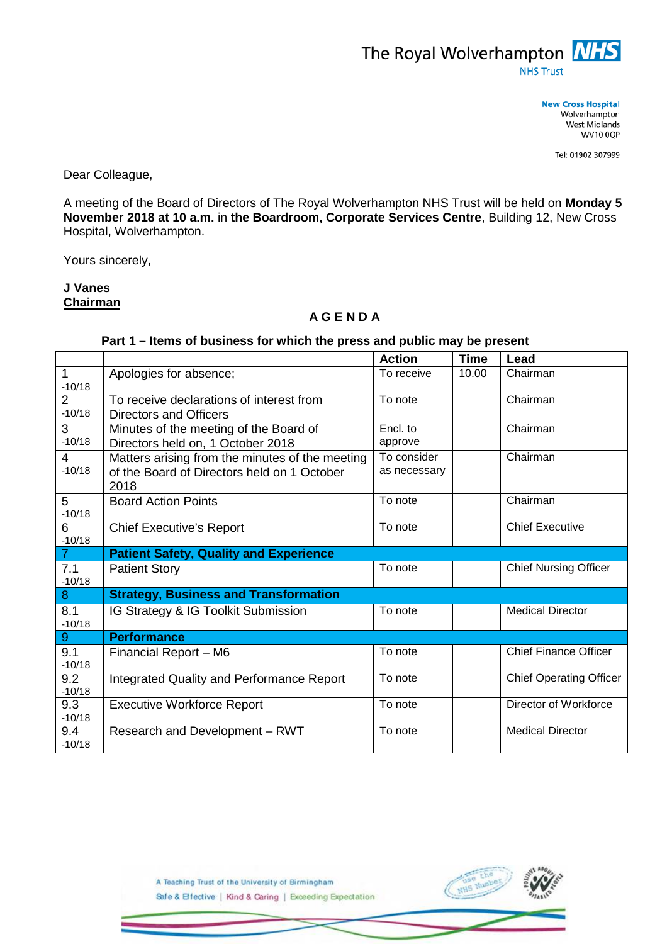

**New Cross Hospital** Wolverhampton West Midlands **WV10 0QP** 

Tel: 01902 307999

Dear Colleague,

A meeting of the Board of Directors of The Royal Wolverhampton NHS Trust will be held on **Monday 5 November 2018 at 10 a.m.** in **the Boardroom, Corporate Services Centre**, Building 12, New Cross Hospital, Wolverhampton.

Yours sincerely,

## **J Vanes Chairman**

## **A G E N D A**

## **Part 1 – Items of business for which the press and public may be present**

|                            |                                                                                                        | <b>Action</b>               | <b>Time</b> | Lead                           |
|----------------------------|--------------------------------------------------------------------------------------------------------|-----------------------------|-------------|--------------------------------|
| $-10/18$                   | Apologies for absence;                                                                                 | To receive                  | 10.00       | Chairman                       |
| $\overline{2}$<br>$-10/18$ | To receive declarations of interest from<br>Directors and Officers                                     | To note                     |             | Chairman                       |
| 3<br>$-10/18$              | Minutes of the meeting of the Board of<br>Directors held on, 1 October 2018                            | Encl. to<br>approve         |             | Chairman                       |
| $\overline{4}$<br>$-10/18$ | Matters arising from the minutes of the meeting<br>of the Board of Directors held on 1 October<br>2018 | To consider<br>as necessary |             | Chairman                       |
| 5<br>$-10/18$              | <b>Board Action Points</b>                                                                             | To note                     |             | Chairman                       |
| $6\phantom{1}$<br>$-10/18$ | <b>Chief Executive's Report</b>                                                                        | To note                     |             | <b>Chief Executive</b>         |
| $\overline{7}$             | <b>Patient Safety, Quality and Experience</b>                                                          |                             |             |                                |
| 7.1<br>$-10/18$            | <b>Patient Story</b>                                                                                   | To note                     |             | <b>Chief Nursing Officer</b>   |
| 8                          | <b>Strategy, Business and Transformation</b>                                                           |                             |             |                                |
| 8.1<br>$-10/18$            | IG Strategy & IG Toolkit Submission                                                                    | To note                     |             | <b>Medical Director</b>        |
| 9 <sup>°</sup>             | <b>Performance</b>                                                                                     |                             |             |                                |
| 9.1<br>$-10/18$            | Financial Report - M6                                                                                  | To note                     |             | <b>Chief Finance Officer</b>   |
| 9.2<br>$-10/18$            | Integrated Quality and Performance Report                                                              | To note                     |             | <b>Chief Operating Officer</b> |
| 9.3<br>$-10/18$            | <b>Executive Workforce Report</b>                                                                      | To note                     |             | Director of Workforce          |
| 9.4<br>$-10/18$            | Research and Development - RWT                                                                         | To note                     |             | <b>Medical Director</b>        |